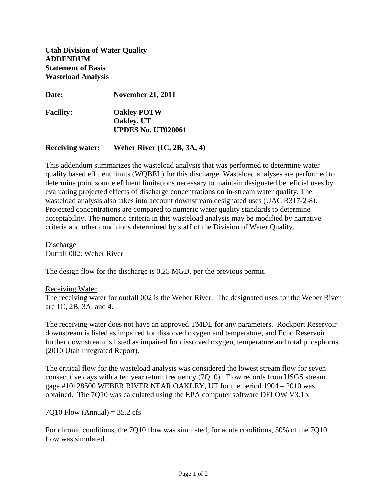**Utah Division of Water Quality ADDENDUM Statement of Basis Wasteload Analysis** 

| <b>Date:</b>     | <b>November 21, 2011</b>                                      |
|------------------|---------------------------------------------------------------|
| <b>Facility:</b> | <b>Oakley POTW</b><br>Oakley, UT<br><b>UPDES No. UT020061</b> |
|                  |                                                               |

**Receiving water: Weber River (1C, 2B, 3A, 4)** 

This addendum summarizes the wasteload analysis that was performed to determine water quality based effluent limits (WQBEL) for this discharge. Wasteload analyses are performed to determine point source effluent limitations necessary to maintain designated beneficial uses by evaluating projected effects of discharge concentrations on in-stream water quality. The wasteload analysis also takes into account downstream designated uses (UAC R317-2-8). Projected concentrations are compared to numeric water quality standards to determine acceptability. The numeric criteria in this wasteload analysis may be modified by narrative criteria and other conditions determined by staff of the Division of Water Quality.

Discharge Outfall 002: Weber River

The design flow for the discharge is 0.25 MGD, per the previous permit.

## Receiving Water

The receiving water for outfall 002 is the Weber River. The designated uses for the Weber River are 1C, 2B, 3A, and 4.

The receiving water does not have an approved TMDL for any parameters. Rockport Reservoir downstream is listed as impaired for dissolved oxygen and temperature, and Echo Reservoir further downstream is listed as impaired for dissolved oxygen, temperature and total phosphorus (2010 Utah Integrated Report).

The critical flow for the wasteload analysis was considered the lowest stream flow for seven consecutive days with a ten year return frequency (7Q10). Flow records from USGS stream gage #10128500 WEBER RIVER NEAR OAKLEY, UT for the period 1904 – 2010 was obtained. The 7Q10 was calculated using the EPA computer software DFLOW V3.1b.

7Q10 Flow (Annual) =  $35.2$  cfs

For chronic conditions, the 7Q10 flow was simulated; for acute conditions, 50% of the 7Q10 flow was simulated.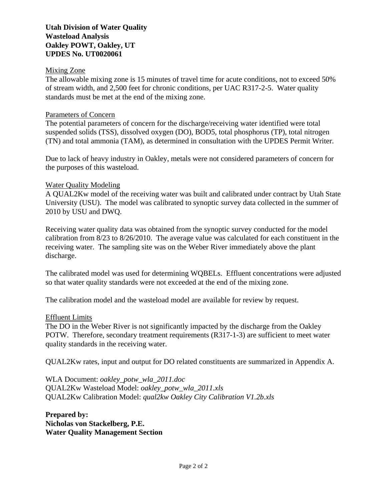# **Utah Division of Water Quality Wasteload Analysis Oakley POWT, Oakley, UT UPDES No. UT0020061**

## Mixing Zone

The allowable mixing zone is 15 minutes of travel time for acute conditions, not to exceed 50% of stream width, and 2,500 feet for chronic conditions, per UAC R317-2-5. Water quality standards must be met at the end of the mixing zone.

# Parameters of Concern

The potential parameters of concern for the discharge/receiving water identified were total suspended solids (TSS), dissolved oxygen (DO), BOD5, total phosphorus (TP), total nitrogen (TN) and total ammonia (TAM), as determined in consultation with the UPDES Permit Writer.

Due to lack of heavy industry in Oakley, metals were not considered parameters of concern for the purposes of this wasteload.

# Water Quality Modeling

A QUAL2Kw model of the receiving water was built and calibrated under contract by Utah State University (USU). The model was calibrated to synoptic survey data collected in the summer of 2010 by USU and DWQ.

Receiving water quality data was obtained from the synoptic survey conducted for the model calibration from 8/23 to 8/26/2010. The average value was calculated for each constituent in the receiving water. The sampling site was on the Weber River immediately above the plant discharge.

The calibrated model was used for determining WQBELs. Effluent concentrations were adjusted so that water quality standards were not exceeded at the end of the mixing zone.

The calibration model and the wasteload model are available for review by request.

## Effluent Limits

The DO in the Weber River is not significantly impacted by the discharge from the Oakley POTW. Therefore, secondary treatment requirements (R317-1-3) are sufficient to meet water quality standards in the receiving water.

QUAL2Kw rates, input and output for DO related constituents are summarized in Appendix A.

WLA Document: *oakley\_potw\_wla\_2011.doc* QUAL2Kw Wasteload Model: *oakley\_potw\_wla\_2011.xls* QUAL2Kw Calibration Model: *qual2kw Oakley City Calibration V1.2b.xls*

**Prepared by: Nicholas von Stackelberg, P.E. Water Quality Management Section**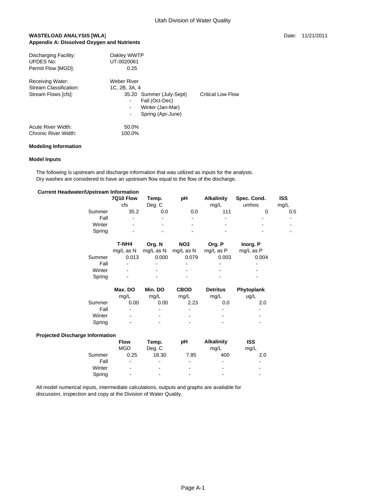### **WASTELOAD ANALYSIS [WLA] Date: 11/21/2011 Date: 11/21/2011 Appendix A: Dissolved Oxygen and Nutrients**

| Discharging Facility:<br><b>UPDES No:</b><br>Permit Flow [MGD]:          | Oakley WWTP<br>UT-0020061<br>0.25                                                                                                            |                   |
|--------------------------------------------------------------------------|----------------------------------------------------------------------------------------------------------------------------------------------|-------------------|
| <b>Receiving Water:</b><br>Stream Classification:<br>Stream Flows [cfs]: | <b>Weber River</b><br>1C. 2B. 3A. 4<br>35.20 Summer (July-Sept)<br>Fall (Oct-Dec)<br>Winter (Jan-Mar)<br>Spring (Apr-June)<br>$\blacksquare$ | Critical Low Flow |
| Acute River Width:<br>Chronic River Width:                               | 50.0%<br>100.0%                                                                                                                              |                   |

### **Modeling Information**

#### **Model Inputs**

 The following is upstream and discharge information that was utilized as inputs for the analysis. Dry washes are considered to have an upstream flow equal to the flow of the discharge.

### **Current Headwater/Upstream Information**

|        | 7Q10 Flow                | Temp.          | pН             | <b>Alkalinity</b> | Spec. Cond.              | <b>ISS</b>     |
|--------|--------------------------|----------------|----------------|-------------------|--------------------------|----------------|
|        | cfs                      | Deg. C         |                | mg/L              | umhos                    | mq/L           |
| Summer | 35.2                     | 0.0            | 0.0            | 111               |                          | 0.5            |
| Fall   | $\blacksquare$           | $\blacksquare$ | $\blacksquare$ | -                 | $\overline{\phantom{a}}$ | $\blacksquare$ |
| Winter | $\blacksquare$           | $\blacksquare$ | $\blacksquare$ | -                 | $\overline{\phantom{a}}$ | $\blacksquare$ |
| Spring | $\overline{\phantom{a}}$ | $\blacksquare$ | $\blacksquare$ |                   | $\,$                     | $\blacksquare$ |
|        |                          |                |                |                   |                          |                |

|        | T-NH4          | Org. N         | NO <sub>3</sub> | Org. P                   | Inorg. P                 |
|--------|----------------|----------------|-----------------|--------------------------|--------------------------|
|        | ma/L as N      | mg/L as N      | mg/L as N       | $mq/L$ as $P$            | mg/L as P                |
| Summer | 0.013          | 0.000          | 0.079           | 0.003                    | 0.004                    |
| Fall   | $\blacksquare$ |                |                 | $\,$                     | -                        |
| Winter | $\blacksquare$ | $\blacksquare$ | $\blacksquare$  | $\overline{\phantom{0}}$ | $\overline{\phantom{a}}$ |
| Spring | $\blacksquare$ | -              | $\blacksquare$  | -                        | $\overline{\phantom{a}}$ |

|        | Max. DO                  | Min. DO                  | <b>CBOD</b>    | <b>Detritus</b>          | Phytoplank                   |
|--------|--------------------------|--------------------------|----------------|--------------------------|------------------------------|
|        | mq/L                     | mq/L                     | mq/L           | mq/L                     | uq/L                         |
| Summer | 0.00                     | 0.00                     | 2.23           | 0.0                      | 2.0                          |
| Fall   | $\blacksquare$           | $\blacksquare$           | $\blacksquare$ | $\overline{\phantom{a}}$ | $\qquad \qquad \blacksquare$ |
| Winter | $\blacksquare$           | $\blacksquare$           | $\blacksquare$ | $\blacksquare$           | ۰                            |
| Spring | $\overline{\phantom{0}}$ | $\overline{\phantom{0}}$ | -              | $\blacksquare$           | -                            |

### **Projected Discharge Information**

|        | <b>Flow</b>    | Temp.                        | рH                       | <b>Alkalinity</b>        | <b>ISS</b>               |
|--------|----------------|------------------------------|--------------------------|--------------------------|--------------------------|
|        | <b>MGD</b>     | Deg. C                       |                          | mg/L                     | mg/L                     |
| Summer | 0.25           | 18.30                        | 7.85                     | 400                      | 2.0                      |
| Fall   | $\blacksquare$ | $\blacksquare$               | $\overline{\phantom{a}}$ | $\blacksquare$           | ٠                        |
| Winter | $\sim$         | $\blacksquare$               | $\blacksquare$           | $\blacksquare$           | $\blacksquare$           |
| Spring | $\blacksquare$ | $\qquad \qquad \blacksquare$ | $\,$                     | $\overline{\phantom{0}}$ | $\overline{\phantom{a}}$ |

 All model numerical inputs, intermediate calculations, outputs and graphs are available for discussion, inspection and copy at the Division of Water Quality.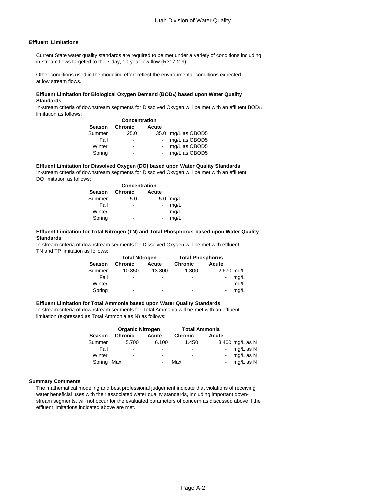### **Effluent Limitations**

 Current State water quality standards are required to be met under a variety of conditions including in-stream flows targeted to the 7-day, 10-year low flow (R317-2-9).

 Other conditions used in the modeling effort reflect the environmental conditions expected at low stream flows.

#### **Effluent Limitation for Biological Oxygen Demand (BOD5) based upon Water Quality Standards**

 In-stream criteria of downstream segments for Dissolved Oxygen will be met with an effluent BOD5 limitation as follows:

|        | Season Chronic | Acute |                    |
|--------|----------------|-------|--------------------|
| Summer | 25.0           |       | 35.0 mg/L as CBOD5 |
| Fall   | -              |       | mg/L as CBOD5      |
| Winter | ٠              |       | mg/L as CBOD5      |
| Spring |                |       | mg/L as CBOD5      |

 **Effluent Limitation for Dissolved Oxygen (DO) based upon Water Quality Standards** In-stream criteria of downstream segments for Dissolved Oxygen will be met with an effluent DO limitation as follows:

| Season | <b>Chronic</b> | Acute                    |      |
|--------|----------------|--------------------------|------|
| Summer | 5.0            | 5.0                      | mg/L |
| Fall   |                |                          | mg/L |
| Winter | -              | $\overline{\phantom{0}}$ | mg/L |
| Spring |                |                          | mg/L |

 **Standards Effluent Limitation for Total Nitrogen (TN) and Total Phosphorus based upon Water Quality**

 In-stream criteria of downstream segments for Dissolved Oxygen will be met with effluent TN and TP limitation as follows:

|               | <b>Total Nitrogen</b>        |                          | <b>Total Phosphorus</b>  |                        |
|---------------|------------------------------|--------------------------|--------------------------|------------------------|
| <b>Season</b> | Chronic                      | Acute                    | Chronic                  | Acute                  |
| Summer        | 10.850                       | 13.800                   | 1.300                    | 2.670 mg/L             |
| Fall          | $\overline{\phantom{a}}$     | $\blacksquare$           | $\blacksquare$           | mq/L<br>$\blacksquare$ |
| Winter        | $\qquad \qquad \blacksquare$ | $\blacksquare$           | $\sim$                   | mq/L<br>$\blacksquare$ |
| Spring        | -                            | $\overline{\phantom{0}}$ | $\overline{\phantom{0}}$ | ma/L<br>$\blacksquare$ |

#### **Effluent Limitation for Total Ammonia based upon Water Quality Standards**

 In-stream criteria of downstream segments for Total Ammonia will be met with an effluent limitation (expressed as Total Ammonia as N) as follows:

| <b>Organic Nitrogen</b> |                              | <b>Total Ammonia</b>         |                          |       |                 |
|-------------------------|------------------------------|------------------------------|--------------------------|-------|-----------------|
| <b>Season</b>           | <b>Chronic</b>               | Acute                        | <b>Chronic</b>           | Acute |                 |
| Summer                  | 5.700                        | 6.100                        | 1.450                    |       | 3.400 mg/L as N |
| Fall                    | $\blacksquare$               | $\blacksquare$               | $\overline{\phantom{a}}$ |       | mg/L as N       |
| Winter                  | $\qquad \qquad \blacksquare$ |                              | $\blacksquare$           |       | mg/L as N       |
| Spring                  | Max                          | $\qquad \qquad \blacksquare$ | Max                      |       | mg/L as N       |

#### **Summary Comments**

 The mathematical modeling and best professional judgement indicate that violations of receiving water beneficial uses with their associated water quality standards, including important down stream segments, will not occur for the evaluated parameters of concern as discussed above if the effluent limitations indicated above are met.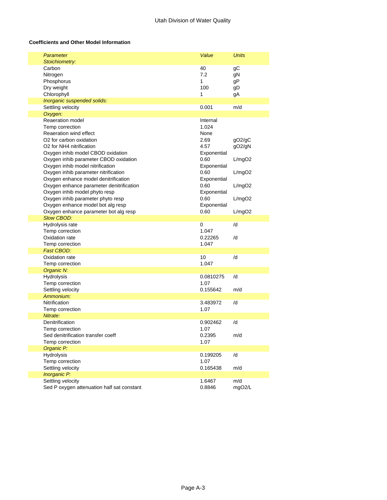### **Coefficients and Other Model Information**

| Parameter<br>Stoichiometry:                                                                                                                                                                                                                                                                                                                                                                                                                                                                                                                                | Value                                                                                                                                                        | <b>Units</b>                                                       |
|------------------------------------------------------------------------------------------------------------------------------------------------------------------------------------------------------------------------------------------------------------------------------------------------------------------------------------------------------------------------------------------------------------------------------------------------------------------------------------------------------------------------------------------------------------|--------------------------------------------------------------------------------------------------------------------------------------------------------------|--------------------------------------------------------------------|
| Carbon<br>Nitrogen<br>Phosphorus<br>Dry weight<br>Chlorophyll                                                                                                                                                                                                                                                                                                                                                                                                                                                                                              | 40<br>7.2<br>1<br>100<br>1                                                                                                                                   | gС<br>gN<br>gP<br>gD<br>gA                                         |
| Inorganic suspended solids:                                                                                                                                                                                                                                                                                                                                                                                                                                                                                                                                |                                                                                                                                                              |                                                                    |
| Settling velocity                                                                                                                                                                                                                                                                                                                                                                                                                                                                                                                                          | 0.001                                                                                                                                                        | m/d                                                                |
| Oxygen:                                                                                                                                                                                                                                                                                                                                                                                                                                                                                                                                                    |                                                                                                                                                              |                                                                    |
| Reaeration model<br>Temp correction<br>Reaeration wind effect<br>O <sub>2</sub> for carbon oxidation<br>O <sub>2</sub> for NH <sub>4</sub> nitrification<br>Oxygen inhib model CBOD oxidation<br>Oxygen inhib parameter CBOD oxidation<br>Oxygen inhib model nitrification<br>Oxygen inhib parameter nitrification<br>Oxygen enhance model denitrification<br>Oxygen enhance parameter denitrification<br>Oxygen inhib model phyto resp<br>Oxygen inhib parameter phyto resp<br>Oxygen enhance model bot alg resp<br>Oxygen enhance parameter bot alg resp | Internal<br>1.024<br>None<br>2.69<br>4.57<br>Exponential<br>0.60<br>Exponential<br>0.60<br>Exponential<br>0.60<br>Exponential<br>0.60<br>Exponential<br>0.60 | gO2/gC<br>gO2/gN<br>L/mgO2<br>L/mgO2<br>L/mgO2<br>L/mgO2<br>L/mgO2 |
| <b>Slow CBOD:</b>                                                                                                                                                                                                                                                                                                                                                                                                                                                                                                                                          |                                                                                                                                                              |                                                                    |
| Hydrolysis rate<br>Temp correction<br>Oxidation rate<br>Temp correction                                                                                                                                                                                                                                                                                                                                                                                                                                                                                    | 0<br>1.047<br>0.22265<br>1.047                                                                                                                               | /d<br>/d                                                           |
| Fast CBOD:                                                                                                                                                                                                                                                                                                                                                                                                                                                                                                                                                 |                                                                                                                                                              |                                                                    |
| Oxidation rate<br>Temp correction                                                                                                                                                                                                                                                                                                                                                                                                                                                                                                                          | 10<br>1.047                                                                                                                                                  | /d                                                                 |
| Organic N:                                                                                                                                                                                                                                                                                                                                                                                                                                                                                                                                                 |                                                                                                                                                              |                                                                    |
| Hydrolysis<br>Temp correction<br>Settling velocity                                                                                                                                                                                                                                                                                                                                                                                                                                                                                                         | 0.0810275<br>1.07<br>0.155642                                                                                                                                | /d<br>m/d                                                          |
| Ammonium:                                                                                                                                                                                                                                                                                                                                                                                                                                                                                                                                                  |                                                                                                                                                              |                                                                    |
| Nitrification<br>Temp correction                                                                                                                                                                                                                                                                                                                                                                                                                                                                                                                           | 3.483972<br>1.07                                                                                                                                             | /d                                                                 |
| Nitrate:<br>Denitrification<br>Temp correction<br>Sed denitrification transfer coeff<br>Temp correction                                                                                                                                                                                                                                                                                                                                                                                                                                                    | 0.902462<br>1.07<br>0.2395<br>1.07                                                                                                                           | /d<br>m/d                                                          |
| Organic P:                                                                                                                                                                                                                                                                                                                                                                                                                                                                                                                                                 |                                                                                                                                                              |                                                                    |
| Hydrolysis<br>Temp correction<br>Settling velocity                                                                                                                                                                                                                                                                                                                                                                                                                                                                                                         | 0.199205<br>1.07<br>0.165438                                                                                                                                 | /d<br>m/d                                                          |
| Inorganic P:                                                                                                                                                                                                                                                                                                                                                                                                                                                                                                                                               |                                                                                                                                                              |                                                                    |
| Settling velocity<br>Sed P oxygen attenuation half sat constant                                                                                                                                                                                                                                                                                                                                                                                                                                                                                            | 1.6467<br>0.8846                                                                                                                                             | m/d<br>mgO2/L                                                      |